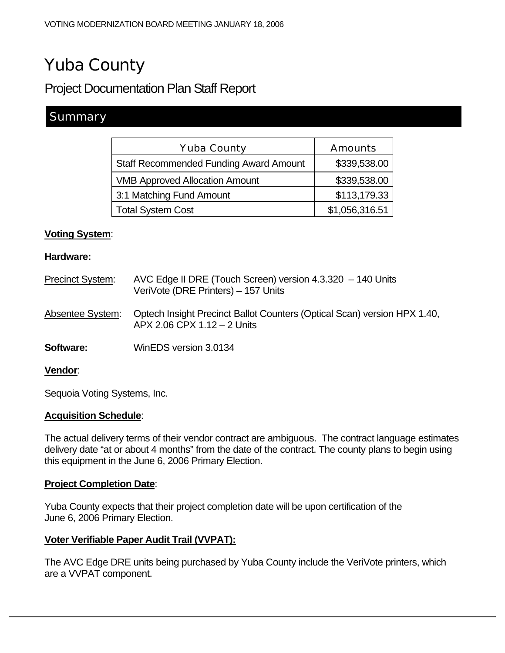# Yuba County

## Project Documentation Plan Staff Report

## **Summary**

| <b>Yuba County</b>                            | <b>Amounts</b> |
|-----------------------------------------------|----------------|
| <b>Staff Recommended Funding Award Amount</b> | \$339,538.00   |
| <b>VMB Approved Allocation Amount</b>         | \$339,538.00   |
| 3:1 Matching Fund Amount                      | \$113,179.33   |
| <b>Total System Cost</b>                      | \$1,056,316.51 |

#### **Voting System**:

#### **Hardware:**

| <b>Precinct System:</b> | AVC Edge II DRE (Touch Screen) version 4.3.320 - 140 Units<br>VeriVote (DRE Printers) - 157 Units       |
|-------------------------|---------------------------------------------------------------------------------------------------------|
| Absentee System:        | Optech Insight Precinct Ballot Counters (Optical Scan) version HPX 1.40,<br>APX 2.06 CPX 1.12 - 2 Units |
| Software:               | WinEDS version 3.0134                                                                                   |
| Vendor:                 |                                                                                                         |

Sequoia Voting Systems, Inc.

#### **Acquisition Schedule**:

The actual delivery terms of their vendor contract are ambiguous. The contract language estimates delivery date "at or about 4 months" from the date of the contract. The county plans to begin using this equipment in the June 6, 2006 Primary Election.

#### **Project Completion Date**:

Yuba County expects that their project completion date will be upon certification of the June 6, 2006 Primary Election.

#### **Voter Verifiable Paper Audit Trail (VVPAT):**

The AVC Edge DRE units being purchased by Yuba County include the VeriVote printers, which are a VVPAT component.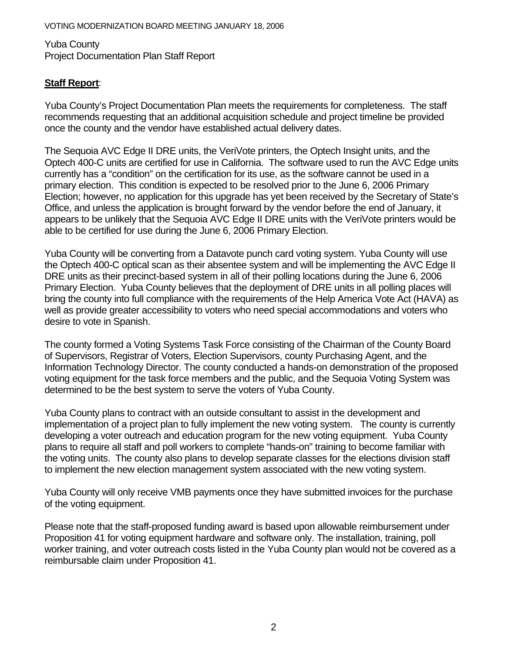Yuba County Project Documentation Plan Staff Report

### **Staff Report**:

Yuba County's Project Documentation Plan meets the requirements for completeness. The staff recommends requesting that an additional acquisition schedule and project timeline be provided once the county and the vendor have established actual delivery dates.

The Sequoia AVC Edge II DRE units, the VeriVote printers, the Optech Insight units, and the Optech 400-C units are certified for use in California. The software used to run the AVC Edge units currently has a "condition" on the certification for its use, as the software cannot be used in a primary election. This condition is expected to be resolved prior to the June 6, 2006 Primary Election; however, no application for this upgrade has yet been received by the Secretary of State's Office, and unless the application is brought forward by the vendor before the end of January, it appears to be unlikely that the Sequoia AVC Edge II DRE units with the VeriVote printers would be able to be certified for use during the June 6, 2006 Primary Election.

Yuba County will be converting from a Datavote punch card voting system. Yuba County will use the Optech 400-C optical scan as their absentee system and will be implementing the AVC Edge II DRE units as their precinct-based system in all of their polling locations during the June 6, 2006 Primary Election. Yuba County believes that the deployment of DRE units in all polling places will bring the county into full compliance with the requirements of the Help America Vote Act (HAVA) as well as provide greater accessibility to voters who need special accommodations and voters who desire to vote in Spanish.

The county formed a Voting Systems Task Force consisting of the Chairman of the County Board of Supervisors, Registrar of Voters, Election Supervisors, county Purchasing Agent, and the Information Technology Director. The county conducted a hands-on demonstration of the proposed voting equipment for the task force members and the public, and the Sequoia Voting System was determined to be the best system to serve the voters of Yuba County.

Yuba County plans to contract with an outside consultant to assist in the development and implementation of a project plan to fully implement the new voting system. The county is currently developing a voter outreach and education program for the new voting equipment. Yuba County plans to require all staff and poll workers to complete "hands-on" training to become familiar with the voting units. The county also plans to develop separate classes for the elections division staff to implement the new election management system associated with the new voting system.

Yuba County will only receive VMB payments once they have submitted invoices for the purchase of the voting equipment.

Please note that the staff-proposed funding award is based upon allowable reimbursement under Proposition 41 for voting equipment hardware and software only. The installation, training, poll worker training, and voter outreach costs listed in the Yuba County plan would not be covered as a reimbursable claim under Proposition 41.